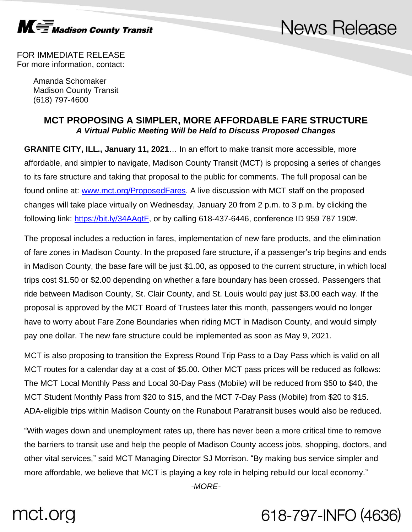

## **News Release**

FOR IMMEDIATE RELEASE For more information, contact:

> Amanda Schomaker Madison County Transit (618) 797-4600

### **MCT PROPOSING A SIMPLER, MORE AFFORDABLE FARE STRUCTURE** *A Virtual Public Meeting Will be Held to Discuss Proposed Changes*

**GRANITE CITY, ILL., January 11, 2021**… In an effort to make transit more accessible, more affordable, and simpler to navigate, Madison County Transit (MCT) is proposing a series of changes to its fare structure and taking that proposal to the public for comments. The full proposal can be found online at: [www.mct.org/ProposedFares.](http://www.mct.org/ProposedFares) A live discussion with MCT staff on the proposed changes will take place virtually on Wednesday, January 20 from 2 p.m. to 3 p.m. by clicking the following link: [https://bit.ly/34AAqtF,](https://bit.ly/34AAqtF) or by calling 618-437-6446, conference ID 959 787 190#.

The proposal includes a reduction in fares, implementation of new fare products, and the elimination of fare zones in Madison County. In the proposed fare structure, if a passenger's trip begins and ends in Madison County, the base fare will be just \$1.00, as opposed to the current structure, in which local trips cost \$1.50 or \$2.00 depending on whether a fare boundary has been crossed. Passengers that ride between Madison County, St. Clair County, and St. Louis would pay just \$3.00 each way. If the proposal is approved by the MCT Board of Trustees later this month, passengers would no longer have to worry about Fare Zone Boundaries when riding MCT in Madison County, and would simply pay one dollar. The new fare structure could be implemented as soon as May 9, 2021.

MCT is also proposing to transition the Express Round Trip Pass to a Day Pass which is valid on all MCT routes for a calendar day at a cost of \$5.00. Other MCT pass prices will be reduced as follows: The MCT Local Monthly Pass and Local 30-Day Pass (Mobile) will be reduced from \$50 to \$40, the MCT Student Monthly Pass from \$20 to \$15, and the MCT 7-Day Pass (Mobile) from \$20 to \$15. ADA-eligible trips within Madison County on the Runabout Paratransit buses would also be reduced.

"With wages down and unemployment rates up, there has never been a more critical time to remove the barriers to transit use and help the people of Madison County access jobs, shopping, doctors, and other vital services," said MCT Managing Director SJ Morrison. "By making bus service simpler and more affordable, we believe that MCT is playing a key role in helping rebuild our local economy."

*-MORE-*

# mct.org

## 618-797-INFO (4636)